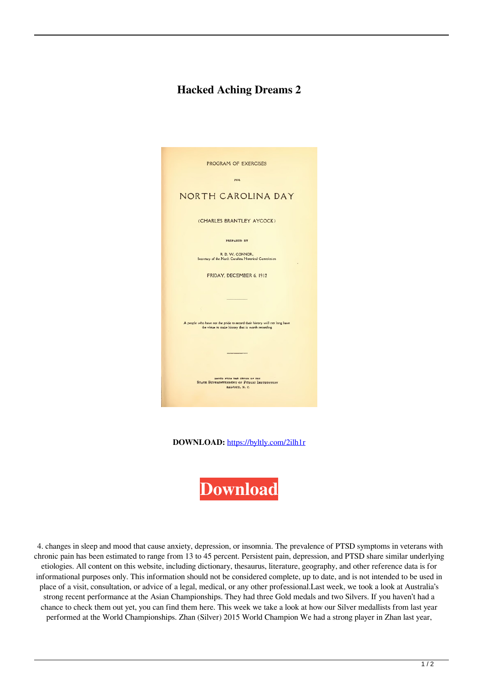## **Hacked Aching Dreams 2**



**DOWNLOAD:** <https://byltly.com/2ilh1r>



 4. changes in sleep and mood that cause anxiety, depression, or insomnia. The prevalence of PTSD symptoms in veterans with chronic pain has been estimated to range from 13 to 45 percent. Persistent pain, depression, and PTSD share similar underlying etiologies. All content on this website, including dictionary, thesaurus, literature, geography, and other reference data is for informational purposes only. This information should not be considered complete, up to date, and is not intended to be used in place of a visit, consultation, or advice of a legal, medical, or any other professional.Last week, we took a look at Australia's strong recent performance at the Asian Championships. They had three Gold medals and two Silvers. If you haven't had a chance to check them out yet, you can find them here. This week we take a look at how our Silver medallists from last year performed at the World Championships. Zhan (Silver) 2015 World Champion We had a strong player in Zhan last year,